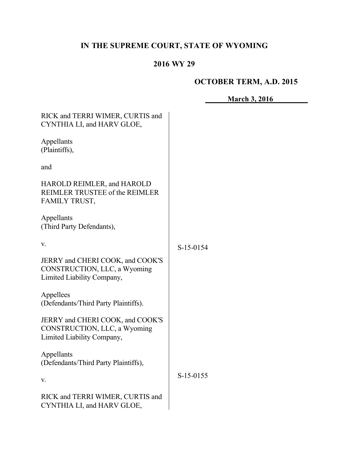# **IN THE SUPREME COURT, STATE OF WYOMING**

## **2016 WY 29**

# **OCTOBER TERM, A.D. 2015**

**March 3, 2016**

| RICK and TERRI WIMER, CURTIS and<br>CYNTHIA LI, and HARV GLOE,                                 |           |
|------------------------------------------------------------------------------------------------|-----------|
| Appellants<br>(Plaintiffs),                                                                    |           |
| and                                                                                            |           |
| HAROLD REIMLER, and HAROLD<br>REIMLER TRUSTEE of the REIMLER<br>FAMILY TRUST,                  |           |
| Appellants<br>(Third Party Defendants),                                                        |           |
| V.                                                                                             | S-15-0154 |
| JERRY and CHERI COOK, and COOK'S<br>CONSTRUCTION, LLC, a Wyoming<br>Limited Liability Company, |           |
| Appellees<br>(Defendants/Third Party Plaintiffs).                                              |           |
| JERRY and CHERI COOK, and COOK'S<br>CONSTRUCTION, LLC, a Wyoming<br>Limited Liability Company, |           |
| Appellants<br>(Defendants/Third Party Plaintiffs),                                             |           |
| V.                                                                                             | S-15-0155 |
| RICK and TERRI WIMER, CURTIS and<br>CYNTHIA LI, and HARV GLOE,                                 |           |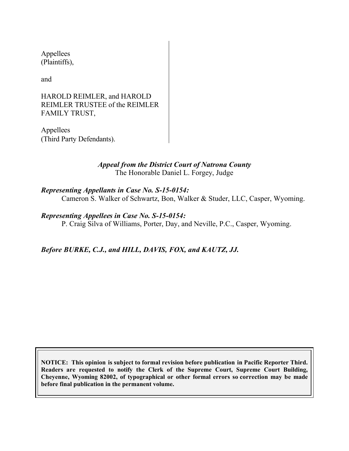Appellees (Plaintiffs),

and

#### HAROLD REIMLER, and HAROLD REIMLER TRUSTEE of the REIMLER FAMILY TRUST,

Appellees (Third Party Defendants).

## *Appeal from the District Court of Natrona County* The Honorable Daniel L. Forgey, Judge

*Representing Appellants in Case No. S-15-0154:* Cameron S. Walker of Schwartz, Bon, Walker & Studer, LLC, Casper, Wyoming.

*Representing Appellees in Case No. S-15-0154:*

P. Craig Silva of Williams, Porter, Day, and Neville, P.C., Casper, Wyoming.

*Before BURKE, C.J., and HILL, DAVIS, FOX, and KAUTZ, JJ.*

**NOTICE: This opinion is subject to formal revision before publication in Pacific Reporter Third. Readers are requested to notify the Clerk of the Supreme Court, Supreme Court Building, Cheyenne, Wyoming 82002, of typographical or other formal errors so correction may be made before final publication in the permanent volume.**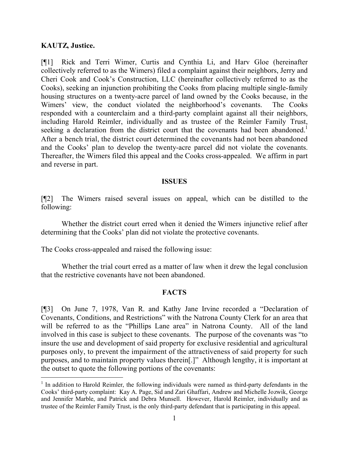#### **KAUTZ, Justice.**

 $\overline{a}$ 

[¶1] Rick and Terri Wimer, Curtis and Cynthia Li, and Harv Gloe (hereinafter collectively referred to as the Wimers) filed a complaint against their neighbors, Jerry and Cheri Cook and Cook's Construction, LLC (hereinafter collectively referred to as the Cooks), seeking an injunction prohibiting the Cooks from placing multiple single-family housing structures on a twenty-acre parcel of land owned by the Cooks because, in the Wimers' view, the conduct violated the neighborhood's covenants. The Cooks responded with a counterclaim and a third-party complaint against all their neighbors, including Harold Reimler, individually and as trustee of the Reimler Family Trust, seeking a declaration from the district court that the covenants had been abandoned.<sup>1</sup> After a bench trial, the district court determined the covenants had not been abandoned and the Cooks' plan to develop the twenty-acre parcel did not violate the covenants. Thereafter, the Wimers filed this appeal and the Cooks cross-appealed. We affirm in part and reverse in part.

#### **ISSUES**

[¶2] The Wimers raised several issues on appeal, which can be distilled to the following:

Whether the district court erred when it denied the Wimers injunctive relief after determining that the Cooks' plan did not violate the protective covenants.

The Cooks cross-appealed and raised the following issue:

Whether the trial court erred as a matter of law when it drew the legal conclusion that the restrictive covenants have not been abandoned.

## **FACTS**

[¶3] On June 7, 1978, Van R. and Kathy Jane Irvine recorded a "Declaration of Covenants, Conditions, and Restrictions" with the Natrona County Clerk for an area that will be referred to as the "Phillips Lane area" in Natrona County. All of the land involved in this case is subject to these covenants. The purpose of the covenants was "to insure the use and development of said property for exclusive residential and agricultural purposes only, to prevent the impairment of the attractiveness of said property for such purposes, and to maintain property values therein[.]" Although lengthy, it is important at the outset to quote the following portions of the covenants:

<sup>&</sup>lt;sup>1</sup> In addition to Harold Reimler, the following individuals were named as third-party defendants in the Cooks' third-party complaint: Kay A. Page, Sid and Zari Ghaffari, Andrew and Michelle Jozwik, George and Jennifer Marble, and Patrick and Debra Munsell. However, Harold Reimler, individually and as trustee of the Reimler Family Trust, is the only third-party defendant that is participating in this appeal.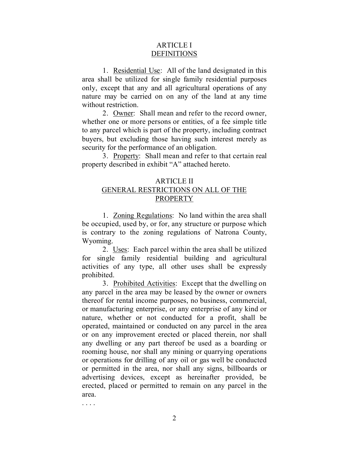#### ARTICLE I **DEFINITIONS**

1. Residential Use: All of the land designated in this area shall be utilized for single family residential purposes only, except that any and all agricultural operations of any nature may be carried on on any of the land at any time without restriction.

2. Owner: Shall mean and refer to the record owner, whether one or more persons or entities, of a fee simple title to any parcel which is part of the property, including contract buyers, but excluding those having such interest merely as security for the performance of an obligation.

3. Property: Shall mean and refer to that certain real property described in exhibit "A" attached hereto.

## ARTICLE II GENERAL RESTRICTIONS ON ALL OF THE PROPERTY

1. Zoning Regulations: No land within the area shall be occupied, used by, or for, any structure or purpose which is contrary to the zoning regulations of Natrona County, Wyoming.

2. Uses: Each parcel within the area shall be utilized for single family residential building and agricultural activities of any type, all other uses shall be expressly prohibited.

3. Prohibited Activities: Except that the dwelling on any parcel in the area may be leased by the owner or owners thereof for rental income purposes, no business, commercial, or manufacturing enterprise, or any enterprise of any kind or nature, whether or not conducted for a profit, shall be operated, maintained or conducted on any parcel in the area or on any improvement erected or placed therein, nor shall any dwelling or any part thereof be used as a boarding or rooming house, nor shall any mining or quarrying operations or operations for drilling of any oil or gas well be conducted or permitted in the area, nor shall any signs, billboards or advertising devices, except as hereinafter provided, be erected, placed or permitted to remain on any parcel in the area.

. . . .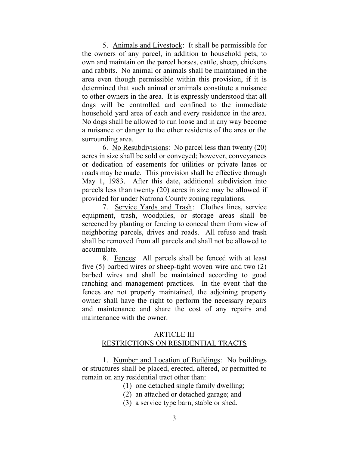5. Animals and Livestock: It shall be permissible for the owners of any parcel, in addition to household pets, to own and maintain on the parcel horses, cattle, sheep, chickens and rabbits. No animal or animals shall be maintained in the area even though permissible within this provision, if it is determined that such animal or animals constitute a nuisance to other owners in the area. It is expressly understood that all dogs will be controlled and confined to the immediate household yard area of each and every residence in the area. No dogs shall be allowed to run loose and in any way become a nuisance or danger to the other residents of the area or the surrounding area.

6. No Resubdivisions: No parcel less than twenty (20) acres in size shall be sold or conveyed; however, conveyances or dedication of easements for utilities or private lanes or roads may be made. This provision shall be effective through May 1, 1983. After this date, additional subdivision into parcels less than twenty (20) acres in size may be allowed if provided for under Natrona County zoning regulations.

7. Service Yards and Trash: Clothes lines, service equipment, trash, woodpiles, or storage areas shall be screened by planting or fencing to conceal them from view of neighboring parcels, drives and roads. All refuse and trash shall be removed from all parcels and shall not be allowed to accumulate.

8. Fences: All parcels shall be fenced with at least five (5) barbed wires or sheep-tight woven wire and two (2) barbed wires and shall be maintained according to good ranching and management practices. In the event that the fences are not properly maintained, the adjoining property owner shall have the right to perform the necessary repairs and maintenance and share the cost of any repairs and maintenance with the owner.

#### ARTICLE III RESTRICTIONS ON RESIDENTIAL TRACTS

1. Number and Location of Buildings: No buildings or structures shall be placed, erected, altered, or permitted to remain on any residential tract other than:

- (1) one detached single family dwelling;
- (2) an attached or detached garage; and
- (3) a service type barn, stable or shed.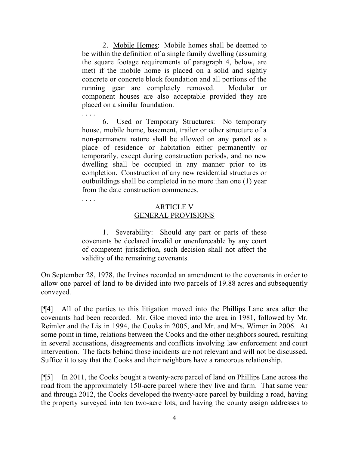2. Mobile Homes: Mobile homes shall be deemed to be within the definition of a single family dwelling (assuming the square footage requirements of paragraph 4, below, are met) if the mobile home is placed on a solid and sightly concrete or concrete block foundation and all portions of the running gear are completely removed. Modular or component houses are also acceptable provided they are placed on a similar foundation.

. . . . 6. Used or Temporary Structures: No temporary house, mobile home, basement, trailer or other structure of a non-permanent nature shall be allowed on any parcel as a place of residence or habitation either permanently or temporarily, except during construction periods, and no new dwelling shall be occupied in any manner prior to its completion. Construction of any new residential structures or outbuildings shall be completed in no more than one (1) year from the date construction commences.

## ARTICLE V GENERAL PROVISIONS

1. Severability: Should any part or parts of these covenants be declared invalid or unenforceable by any court of competent jurisdiction, such decision shall not affect the validity of the remaining covenants.

On September 28, 1978, the Irvines recorded an amendment to the covenants in order to allow one parcel of land to be divided into two parcels of 19.88 acres and subsequently conveyed.

[¶4] All of the parties to this litigation moved into the Phillips Lane area after the covenants had been recorded. Mr. Gloe moved into the area in 1981, followed by Mr. Reimler and the Lis in 1994, the Cooks in 2005, and Mr. and Mrs. Wimer in 2006. At some point in time, relations between the Cooks and the other neighbors soured, resulting in several accusations, disagreements and conflicts involving law enforcement and court intervention. The facts behind those incidents are not relevant and will not be discussed. Suffice it to say that the Cooks and their neighbors have a rancorous relationship.

[¶5] In 2011, the Cooks bought a twenty-acre parcel of land on Phillips Lane across the road from the approximately 150-acre parcel where they live and farm. That same year and through 2012, the Cooks developed the twenty-acre parcel by building a road, having the property surveyed into ten two-acre lots, and having the county assign addresses to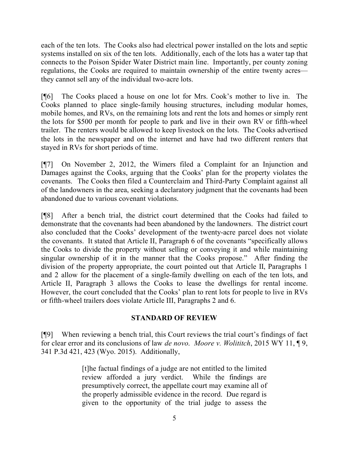each of the ten lots. The Cooks also had electrical power installed on the lots and septic systems installed on six of the ten lots. Additionally, each of the lots has a water tap that connects to the Poison Spider Water District main line. Importantly, per county zoning regulations, the Cooks are required to maintain ownership of the entire twenty acres they cannot sell any of the individual two-acre lots.

[¶6] The Cooks placed a house on one lot for Mrs. Cook's mother to live in. The Cooks planned to place single-family housing structures, including modular homes, mobile homes, and RVs, on the remaining lots and rent the lots and homes or simply rent the lots for \$500 per month for people to park and live in their own RV or fifth-wheel trailer. The renters would be allowed to keep livestock on the lots. The Cooks advertised the lots in the newspaper and on the internet and have had two different renters that stayed in RVs for short periods of time.

[¶7] On November 2, 2012, the Wimers filed a Complaint for an Injunction and Damages against the Cooks, arguing that the Cooks' plan for the property violates the covenants. The Cooks then filed a Counterclaim and Third-Party Complaint against all of the landowners in the area, seeking a declaratory judgment that the covenants had been abandoned due to various covenant violations.

[¶8] After a bench trial, the district court determined that the Cooks had failed to demonstrate that the covenants had been abandoned by the landowners. The district court also concluded that the Cooks' development of the twenty-acre parcel does not violate the covenants. It stated that Article II, Paragraph 6 of the covenants "specifically allows the Cooks to divide the property without selling or conveying it and while maintaining singular ownership of it in the manner that the Cooks propose." After finding the division of the property appropriate, the court pointed out that Article II, Paragraphs 1 and 2 allow for the placement of a single-family dwelling on each of the ten lots, and Article II, Paragraph 3 allows the Cooks to lease the dwellings for rental income. However, the court concluded that the Cooks' plan to rent lots for people to live in RVs or fifth-wheel trailers does violate Article III, Paragraphs 2 and 6.

## **STANDARD OF REVIEW**

[¶9] When reviewing a bench trial, this Court reviews the trial court's findings of fact for clear error and its conclusions of law *de novo*. *Moore v. Wolititch*, 2015 WY 11, ¶ 9, 341 P.3d 421, 423 (Wyo. 2015). Additionally,

> [t]he factual findings of a judge are not entitled to the limited review afforded a jury verdict. While the findings are presumptively correct, the appellate court may examine all of the properly admissible evidence in the record. Due regard is given to the opportunity of the trial judge to assess the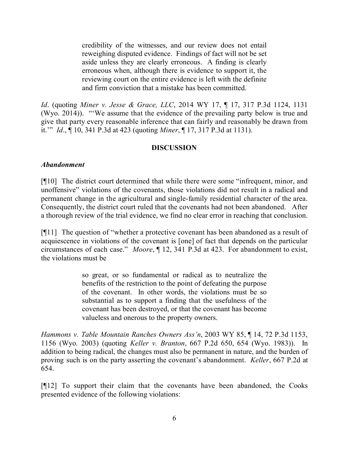credibility of the witnesses, and our review does not entail reweighing disputed evidence. Findings of fact will not be set aside unless they are clearly erroneous. A finding is clearly erroneous when, although there is evidence to support it, the reviewing court on the entire evidence is left with the definite and firm conviction that a mistake has been committed.

*Id*. (quoting *Miner v. Jesse & Grace, LLC*, 2014 WY 17, ¶ 17, 317 P.3d 1124, 1131 (Wyo. 2014)). "'We assume that the evidence of the prevailing party below is true and give that party every reasonable inference that can fairly and reasonably be drawn from it.'" *Id*., ¶ 10, 341 P.3d at 423 (quoting *Miner*, ¶ 17, 317 P.3d at 1131).

## **DISCUSSION**

#### *Abandonment*

[¶10] The district court determined that while there were some "infrequent, minor, and unoffensive" violations of the covenants, those violations did not result in a radical and permanent change in the agricultural and single-family residential character of the area. Consequently, the district court ruled that the covenants had not been abandoned. After a thorough review of the trial evidence, we find no clear error in reaching that conclusion.

[¶11] The question of "whether a protective covenant has been abandoned as a result of acquiescence in violations of the covenant is [one] of fact that depends on the particular circumstances of each case." *Moore*, ¶ 12, 341 P.3d at 423. For abandonment to exist, the violations must be

> so great, or so fundamental or radical as to neutralize the benefits of the restriction to the point of defeating the purpose of the covenant. In other words, the violations must be so substantial as to support a finding that the usefulness of the covenant has been destroyed, or that the covenant has become valueless and onerous to the property owners.

*Hammons v. Table Mountain Ranches Owners Ass'n*, 2003 WY 85, ¶ 14, 72 P.3d 1153, 1156 (Wyo. 2003) (quoting *Keller v. Branton*, 667 P.2d 650, 654 (Wyo. 1983)). In addition to being radical, the changes must also be permanent in nature, and the burden of proving such is on the party asserting the covenant's abandonment. *Keller*, 667 P.2d at 654.

[¶12] To support their claim that the covenants have been abandoned, the Cooks presented evidence of the following violations: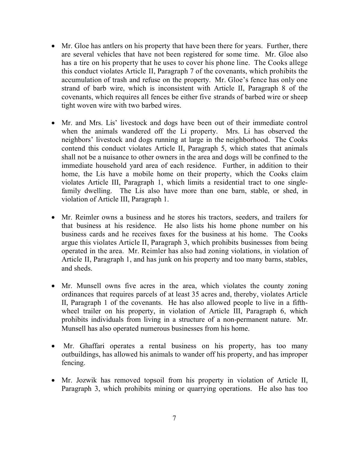- Mr. Gloe has antlers on his property that have been there for years. Further, there are several vehicles that have not been registered for some time. Mr. Gloe also has a tire on his property that he uses to cover his phone line. The Cooks allege this conduct violates Article II, Paragraph 7 of the covenants, which prohibits the accumulation of trash and refuse on the property. Mr. Gloe's fence has only one strand of barb wire, which is inconsistent with Article II, Paragraph 8 of the covenants, which requires all fences be either five strands of barbed wire or sheep tight woven wire with two barbed wires.
- Mr. and Mrs. Lis' livestock and dogs have been out of their immediate control when the animals wandered off the Li property. Mrs. Li has observed the neighbors' livestock and dogs running at large in the neighborhood. The Cooks contend this conduct violates Article II, Paragraph 5, which states that animals shall not be a nuisance to other owners in the area and dogs will be confined to the immediate household yard area of each residence. Further, in addition to their home, the Lis have a mobile home on their property, which the Cooks claim violates Article III, Paragraph 1, which limits a residential tract to one singlefamily dwelling. The Lis also have more than one barn, stable, or shed, in violation of Article III, Paragraph 1.
- Mr. Reimler owns a business and he stores his tractors, seeders, and trailers for that business at his residence. He also lists his home phone number on his business cards and he receives faxes for the business at his home. The Cooks argue this violates Article II, Paragraph 3, which prohibits businesses from being operated in the area. Mr. Reimler has also had zoning violations, in violation of Article II, Paragraph 1, and has junk on his property and too many barns, stables, and sheds.
- Mr. Munsell owns five acres in the area, which violates the county zoning ordinances that requires parcels of at least 35 acres and, thereby, violates Article II, Paragraph 1 of the covenants. He has also allowed people to live in a fifthwheel trailer on his property, in violation of Article III, Paragraph 6, which prohibits individuals from living in a structure of a non-permanent nature. Mr. Munsell has also operated numerous businesses from his home.
- Mr. Ghaffari operates a rental business on his property, has too many outbuildings, has allowed his animals to wander off his property, and has improper fencing.
- Mr. Jozwik has removed topsoil from his property in violation of Article II, Paragraph 3, which prohibits mining or quarrying operations. He also has too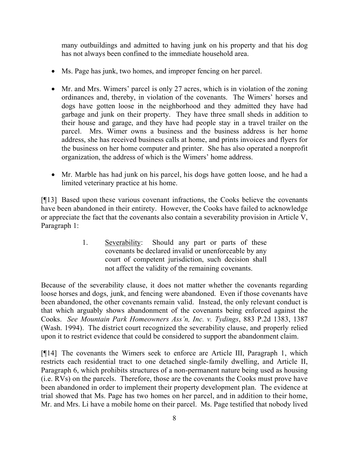many outbuildings and admitted to having junk on his property and that his dog has not always been confined to the immediate household area.

- Ms. Page has junk, two homes, and improper fencing on her parcel.
- Mr. and Mrs. Wimers' parcel is only 27 acres, which is in violation of the zoning ordinances and, thereby, in violation of the covenants. The Wimers' horses and dogs have gotten loose in the neighborhood and they admitted they have had garbage and junk on their property. They have three small sheds in addition to their house and garage, and they have had people stay in a travel trailer on the parcel. Mrs. Wimer owns a business and the business address is her home address, she has received business calls at home, and prints invoices and flyers for the business on her home computer and printer. She has also operated a nonprofit organization, the address of which is the Wimers' home address.
- Mr. Marble has had junk on his parcel, his dogs have gotten loose, and he had a limited veterinary practice at his home.

[¶13] Based upon these various covenant infractions, the Cooks believe the covenants have been abandoned in their entirety. However, the Cooks have failed to acknowledge or appreciate the fact that the covenants also contain a severability provision in Article V, Paragraph 1:

> 1. Severability: Should any part or parts of these covenants be declared invalid or unenforceable by any court of competent jurisdiction, such decision shall not affect the validity of the remaining covenants.

Because of the severability clause, it does not matter whether the covenants regarding loose horses and dogs, junk, and fencing were abandoned. Even if those covenants have been abandoned, the other covenants remain valid. Instead, the only relevant conduct is that which arguably shows abandonment of the covenants being enforced against the Cooks. *See Mountain Park Homeowners Ass'n, Inc. v. Tydings*, 883 P.2d 1383, 1387 (Wash. 1994). The district court recognized the severability clause, and properly relied upon it to restrict evidence that could be considered to support the abandonment claim.

[¶14] The covenants the Wimers seek to enforce are Article III, Paragraph 1, which restricts each residential tract to one detached single-family dwelling, and Article II, Paragraph 6, which prohibits structures of a non-permanent nature being used as housing (i.e. RVs) on the parcels. Therefore, those are the covenants the Cooks must prove have been abandoned in order to implement their property development plan. The evidence at trial showed that Ms. Page has two homes on her parcel, and in addition to their home, Mr. and Mrs. Li have a mobile home on their parcel. Ms. Page testified that nobody lived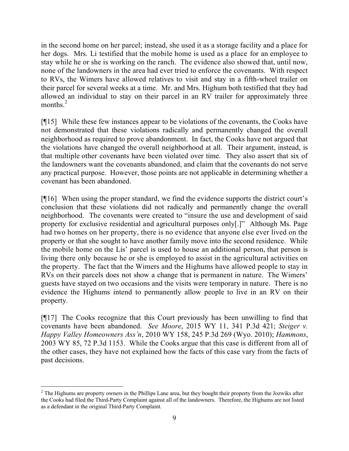in the second home on her parcel; instead, she used it as a storage facility and a place for her dogs. Mrs. Li testified that the mobile home is used as a place for an employee to stay while he or she is working on the ranch. The evidence also showed that, until now, none of the landowners in the area had ever tried to enforce the covenants. With respect to RVs, the Wimers have allowed relatives to visit and stay in a fifth-wheel trailer on their parcel for several weeks at a time. Mr. and Mrs. Highum both testified that they had allowed an individual to stay on their parcel in an RV trailer for approximately three months. $^{2}$ 

[¶15] While these few instances appear to be violations of the covenants, the Cooks have not demonstrated that these violations radically and permanently changed the overall neighborhood as required to prove abandonment. In fact, the Cooks have not argued that the violations have changed the overall neighborhood at all. Their argument, instead, is that multiple other covenants have been violated over time. They also assert that six of the landowners want the covenants abandoned, and claim that the covenants do not serve any practical purpose. However, those points are not applicable in determining whether a covenant has been abandoned.

[¶16] When using the proper standard, we find the evidence supports the district court's conclusion that these violations did not radically and permanently change the overall neighborhood. The covenants were created to "insure the use and development of said property for exclusive residential and agricultural purposes only[.]" Although Ms. Page had two homes on her property, there is no evidence that anyone else ever lived on the property or that she sought to have another family move into the second residence. While the mobile home on the Lis' parcel is used to house an additional person, that person is living there only because he or she is employed to assist in the agricultural activities on the property. The fact that the Wimers and the Highums have allowed people to stay in RVs on their parcels does not show a change that is permanent in nature. The Wimers' guests have stayed on two occasions and the visits were temporary in nature. There is no evidence the Highums intend to permanently allow people to live in an RV on their property.

[¶17] The Cooks recognize that this Court previously has been unwilling to find that covenants have been abandoned. *See Moore*, 2015 WY 11, 341 P.3d 421; *Steiger v. Happy Valley Homeowners Ass'n*, 2010 WY 158, 245 P.3d 269 (Wyo. 2010); *Hammons*, 2003 WY 85, 72 P.3d 1153. While the Cooks argue that this case is different from all of the other cases, they have not explained how the facts of this case vary from the facts of past decisions.

 <sup>2</sup> The Highums are property owners in the Phillips Lane area, but they bought their property from the Jozwiks after the Cooks had filed the Third-Party Complaint against all of the landowners. Therefore, the Highums are not listed as a defendant in the original Third-Party Complaint.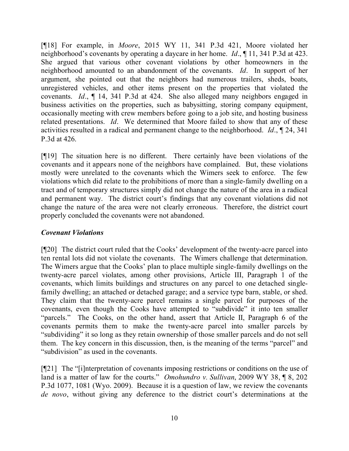[¶18] For example, in *Moore*, 2015 WY 11, 341 P.3d 421, Moore violated her neighborhood's covenants by operating a daycare in her home. *Id*., ¶ 11, 341 P.3d at 423. She argued that various other covenant violations by other homeowners in the neighborhood amounted to an abandonment of the covenants. *Id*. In support of her argument, she pointed out that the neighbors had numerous trailers, sheds, boats, unregistered vehicles, and other items present on the properties that violated the covenants. *Id*., ¶ 14, 341 P.3d at 424. She also alleged many neighbors engaged in business activities on the properties, such as babysitting, storing company equipment, occasionally meeting with crew members before going to a job site, and hosting business related presentations. *Id*. We determined that Moore failed to show that any of these activities resulted in a radical and permanent change to the neighborhood. *Id*., ¶ 24, 341 P.3d at 426.

[¶19] The situation here is no different. There certainly have been violations of the covenants and it appears none of the neighbors have complained. But, these violations mostly were unrelated to the covenants which the Wimers seek to enforce. The few violations which did relate to the prohibitions of more than a single-family dwelling on a tract and of temporary structures simply did not change the nature of the area in a radical and permanent way. The district court's findings that any covenant violations did not change the nature of the area were not clearly erroneous. Therefore, the district court properly concluded the covenants were not abandoned.

## *Covenant Violations*

[¶20] The district court ruled that the Cooks' development of the twenty-acre parcel into ten rental lots did not violate the covenants. The Wimers challenge that determination. The Wimers argue that the Cooks' plan to place multiple single-family dwellings on the twenty-acre parcel violates, among other provisions, Article III, Paragraph 1 of the covenants, which limits buildings and structures on any parcel to one detached singlefamily dwelling; an attached or detached garage; and a service type barn, stable, or shed. They claim that the twenty-acre parcel remains a single parcel for purposes of the covenants, even though the Cooks have attempted to "subdivide" it into ten smaller "parcels." The Cooks, on the other hand, assert that Article II, Paragraph 6 of the covenants permits them to make the twenty-acre parcel into smaller parcels by "subdividing" it so long as they retain ownership of those smaller parcels and do not sell them. The key concern in this discussion, then, is the meaning of the terms "parcel" and "subdivision" as used in the covenants.

[¶21] The "[i]nterpretation of covenants imposing restrictions or conditions on the use of land is a matter of law for the courts." *Omohundro v. Sullivan*, 2009 WY 38, ¶ 8, 202 P.3d 1077, 1081 (Wyo. 2009). Because it is a question of law, we review the covenants *de novo*, without giving any deference to the district court's determinations at the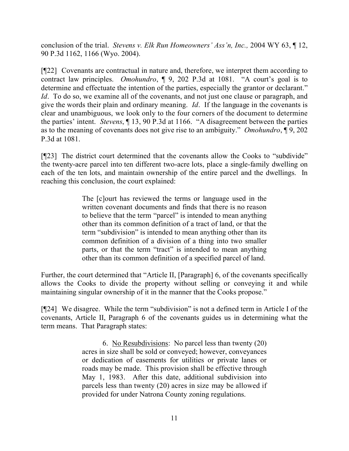conclusion of the trial. *Stevens v. Elk Run Homeowners' Ass'n, Inc.,* 2004 WY 63, ¶ 12, 90 P.3d 1162, 1166 (Wyo. 2004).

[¶22] Covenants are contractual in nature and, therefore, we interpret them according to contract law principles. *Omohundro*, ¶ 9, 202 P.3d at 1081. "A court's goal is to determine and effectuate the intention of the parties, especially the grantor or declarant." *Id*. To do so, we examine all of the covenants, and not just one clause or paragraph, and give the words their plain and ordinary meaning. *Id*. If the language in the covenants is clear and unambiguous, we look only to the four corners of the document to determine the parties' intent. *Stevens*, ¶ 13, 90 P.3d at 1166. "A disagreement between the parties as to the meaning of covenants does not give rise to an ambiguity." *Omohundro*, ¶ 9, 202 P.3d at 1081.

[¶23] The district court determined that the covenants allow the Cooks to "subdivide" the twenty-acre parcel into ten different two-acre lots, place a single-family dwelling on each of the ten lots, and maintain ownership of the entire parcel and the dwellings. In reaching this conclusion, the court explained:

> The [c]ourt has reviewed the terms or language used in the written covenant documents and finds that there is no reason to believe that the term "parcel" is intended to mean anything other than its common definition of a tract of land, or that the term "subdivision" is intended to mean anything other than its common definition of a division of a thing into two smaller parts, or that the term "tract" is intended to mean anything other than its common definition of a specified parcel of land.

Further, the court determined that "Article II, [Paragraph] 6, of the covenants specifically allows the Cooks to divide the property without selling or conveying it and while maintaining singular ownership of it in the manner that the Cooks propose."

[¶24] We disagree. While the term "subdivision" is not a defined term in Article I of the covenants, Article II, Paragraph 6 of the covenants guides us in determining what the term means. That Paragraph states:

> 6. No Resubdivisions: No parcel less than twenty (20) acres in size shall be sold or conveyed; however, conveyances or dedication of easements for utilities or private lanes or roads may be made. This provision shall be effective through May 1, 1983. After this date, additional subdivision into parcels less than twenty (20) acres in size may be allowed if provided for under Natrona County zoning regulations.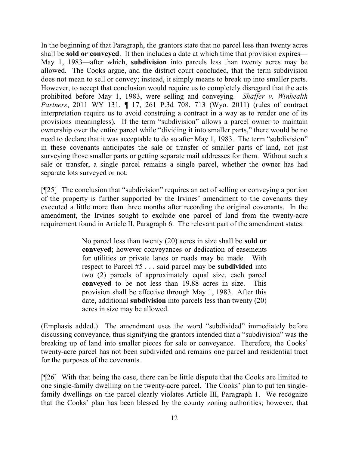In the beginning of that Paragraph, the grantors state that no parcel less than twenty acres shall be **sold or conveyed**. It then includes a date at which time that provision expires— May 1, 1983—after which, **subdivision** into parcels less than twenty acres may be allowed. The Cooks argue, and the district court concluded, that the term subdivision does not mean to sell or convey; instead, it simply means to break up into smaller parts. However, to accept that conclusion would require us to completely disregard that the acts prohibited before May 1, 1983, were selling and conveying. *Shaffer v. Winhealth Partners*, 2011 WY 131, ¶ 17, 261 P.3d 708, 713 (Wyo. 2011) (rules of contract interpretation require us to avoid construing a contract in a way as to render one of its provisions meaningless). If the term "subdivision" allows a parcel owner to maintain ownership over the entire parcel while "dividing it into smaller parts," there would be no need to declare that it was acceptable to do so after May 1, 1983. The term "subdivision" in these covenants anticipates the sale or transfer of smaller parts of land, not just surveying those smaller parts or getting separate mail addresses for them. Without such a sale or transfer, a single parcel remains a single parcel, whether the owner has had separate lots surveyed or not.

[¶25] The conclusion that "subdivision" requires an act of selling or conveying a portion of the property is further supported by the Irvines' amendment to the covenants they executed a little more than three months after recording the original covenants. In the amendment, the Irvines sought to exclude one parcel of land from the twenty-acre requirement found in Article II, Paragraph 6. The relevant part of the amendment states:

> No parcel less than twenty (20) acres in size shall be **sold or conveyed**; however conveyances or dedication of easements for utilities or private lanes or roads may be made. With respect to Parcel #5 . . . said parcel may be **subdivided** into two (2) parcels of approximately equal size, each parcel **conveyed** to be not less than 19.88 acres in size. This provision shall be effective through May 1, 1983. After this date, additional **subdivision** into parcels less than twenty (20) acres in size may be allowed.

(Emphasis added.) The amendment uses the word "subdivided" immediately before discussing conveyance, thus signifying the grantors intended that a "subdivision" was the breaking up of land into smaller pieces for sale or conveyance. Therefore, the Cooks' twenty-acre parcel has not been subdivided and remains one parcel and residential tract for the purposes of the covenants.

[¶26] With that being the case, there can be little dispute that the Cooks are limited to one single-family dwelling on the twenty-acre parcel. The Cooks' plan to put ten singlefamily dwellings on the parcel clearly violates Article III, Paragraph 1. We recognize that the Cooks' plan has been blessed by the county zoning authorities; however, that